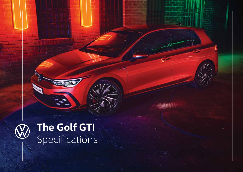

**CONSTRUCTION OF DESCRIPTION** 

# **The Golf GTI** Specifications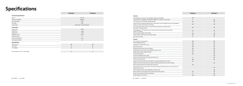# **Specifications**

|                                       | Package 1                     | Package 2    |
|---------------------------------------|-------------------------------|--------------|
| <b>Technical Specification</b>        |                               |              |
| Engine                                |                               | 2.0L TSI     |
| Max power (KW/HP)                     | 180/245                       |              |
| Max torque (NM)                       | 370                           |              |
| Drive type                            | <b>FWD</b>                    |              |
| Transmission                          | Dual Clutch 7-speed Automatic |              |
| <b>Dimensions</b>                     |                               |              |
| Length (mm)                           |                               | 4,287        |
| Width (mm)                            | 1,789                         |              |
| Height (mm)                           | 1,463                         |              |
| Wheelbase (mm)                        | 2,631                         |              |
| Number of seats                       | 5                             |              |
| Trunk capacity (litres)               | 374                           |              |
| Tank capacity (litres)                | 50                            |              |
| <b>Alloy Wheels</b>                   |                               |              |
| 18" Richmond                          | $\checkmark$                  | $\checkmark$ |
| 19" Estoril                           | $\circ$                       | $\circ$      |
| 19" Adelaide                          | $\circ$                       | $\circ$      |
|                                       |                               |              |
| Sport suspension for 19" alloy wheels | $\circ$                       | $\circ$      |

|                                                                                                                                                     | Package 1    | Package 2    |
|-----------------------------------------------------------------------------------------------------------------------------------------------------|--------------|--------------|
| <b>Exterior</b>                                                                                                                                     |              |              |
| LED headlights with daytime running lights, lightstrip and taillights                                                                               | $\checkmark$ |              |
| LED performance headlights and LED HIGH taillights with dynamic turning lights                                                                      | $\circ$      | $\checkmark$ |
| Front fog light, cornering light and highway light                                                                                                  | $\checkmark$ |              |
| Light and Vision Package (windshield wiper intermittent control with light/rain sensor and breakway<br>interior rear view mirror with auto-dimming) | $\checkmark$ | ✓            |
| Door mirrors with memory function, power-folding, adjustable, separately heated<br>and exterior lowering function                                   | $\checkmark$ | ✓            |
| GTI styling pack - 'GTI' design front and rear bumpers and honeycomb front air intake,<br>unique 'GTI' badging                                      | $\checkmark$ | ✓            |
| Chrome exhaust tailpipe, left and right                                                                                                             | $\checkmark$ | $\checkmark$ |
| Larger diameter brake discs and red brake calipers                                                                                                  | ✓            | ✓            |
| Door mirrors in black                                                                                                                               | $\circ$      | $\circ$      |
| <b>Interior</b>                                                                                                                                     |              |              |
| 8.25" Touchscreen Composition                                                                                                                       | $\checkmark$ | $\checkmark$ |
| 10.25" Digital Cockpit Pro                                                                                                                          | $\checkmark$ | ✓            |
| 6 speakers, 4 in front and 2 in rear                                                                                                                | $\checkmark$ | ✓            |
| App-Connect wired                                                                                                                                   | ✓            |              |
| Wireless induction pad for phone charging                                                                                                           | ✓            | ✓            |
| 2x USB Type-C ports in front and 2x USB Type-C ports in rear                                                                                        | ✓            | ✓            |
| Digital radio reception DAB+ (only UAE)                                                                                                             | $\checkmark$ | ✓            |
| 3-zone Climatronic AC                                                                                                                               | ✓            |              |
| Active seat ventilation (front seats)                                                                                                               |              |              |
| Spoiler roof/sunroof with electric slide and tilt function                                                                                          | $\circ$      | ✓            |
| Floor mats, front and rear                                                                                                                          | $\checkmark$ | ✓            |
| Leather trimmed mult-ifunction sport Tiptronic steering wheel with touch control                                                                    | $\checkmark$ |              |
| Leather trimmed multi-function sport Tiptronic steering wheel with touch control, heated                                                            |              | ✓            |
| Fabric top sports seats in front, black with red accents                                                                                            | $\checkmark$ |              |
| Vienna leather with top sports seats in front with 8-way powered driver seat incl. memory function,<br>black with red accents                       |              | $\checkmark$ |
| Lumbar support in front, power adjustable on driver's seat                                                                                          |              | ✓            |
| Black metal chrome decorative inserts in dash and front door panels                                                                                 | $\checkmark$ | ✓            |
| Keyless access with push-button start (Kessy)                                                                                                       | $\circ$      | ✓            |
| Ambient lighting in 30 colours                                                                                                                      | $\checkmark$ | ✓            |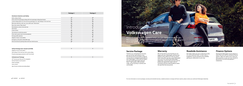|                                                                                          | Package 1    | Package 2    |
|------------------------------------------------------------------------------------------|--------------|--------------|
| <b>Assistance Systems and Safety</b>                                                     |              |              |
| Multi-collision brake                                                                    | $\checkmark$ | $\checkmark$ |
| Driver and front passenger airbag with front passenger airbag deactivation               | $\checkmark$ | ✓            |
| Curtain airbag system for front and rear passengers incl. side airbags in front and rear | $\checkmark$ | ✓            |
| Blind spot detection with rear cross traffic alert "Side Assist"                         | $\checkmark$ |              |
| Rear view camera "Rear Assist"                                                           | $\checkmark$ | $\checkmark$ |
| Park distance control, front and rear                                                    | $\checkmark$ | $\checkmark$ |
| Park Assist                                                                              | $\circ$      | $\circ$      |
| Cruise control                                                                           | $\checkmark$ | $\checkmark$ |
| Tyre pressure monitoring system                                                          | $\checkmark$ | $\checkmark$ |
| Driver alert system (rest recommendation)                                                | $\checkmark$ | $\checkmark$ |
| Driving profile selection                                                                | $\checkmark$ | $\checkmark$ |
| Adaptive chassis control (DCC)                                                           | $\circ$      | O            |
| Emergency call system eCall (UAE only)                                                   | $\checkmark$ | $\checkmark$ |
| Electromechanical parking brake with Auto Hold function                                  | $\checkmark$ | ✓            |

## **Introducing Volkswagen Care**

Peace of mind comes as standard when you join the Volkswagen family. Rest assured, you will always receive genuine care and transparent/pricing from our network of authorised service centres.

| Safety Package (excl. Kuwait and KSA)             | $\circ$ |  |
|---------------------------------------------------|---------|--|
|                                                   |         |  |
| Side airbag in front and rear with curtain airbag |         |  |
| Proactive passenger protection with Front Assist  |         |  |
|                                                   |         |  |
|                                                   | $\circ$ |  |
|                                                   |         |  |
|                                                   |         |  |
|                                                   |         |  |
|                                                   |         |  |

App-Connect wireless (excluding Qatar)

## **Service Package**

Thanks to our comprehensive services, you can hit the road without a care. Our Genuine Service provides a range of services that are designed specifically for your Volkswagen. In the event of repairs, we only install Volkswagen Genuine Parts®: high-quality, safe and tailormade. So your journey is carefree and

comfortable.

For more information on service packages, warranty and extended warranty, roadside assistance coverage and finance options, please contact your authorised Volkswagen dealership.

We are focused on ensuring that you are happy with your Volkswagen and have less things to worry about as a new car owner. That's why when you buy a new Volkswagen from any of our authorised Volkswagen dealerships, we'll provide warranty cover to protect you against the repair costs of manufacturing and material defects within the specified warranty period.

No matter where you are or what time of day it is, we've got your back. In most cases, a breakdown can be resolved at the roadside, getting you safely back on your way.

Golf GTI

Owning the Volkswagen of your dreams is easier than ever with our attractive finance options. High cost repairs won't wear you down anymore, as you can even choose to pay off your car service by paying in instalments.

## **Warranty Roadside Assistance Finance Options**